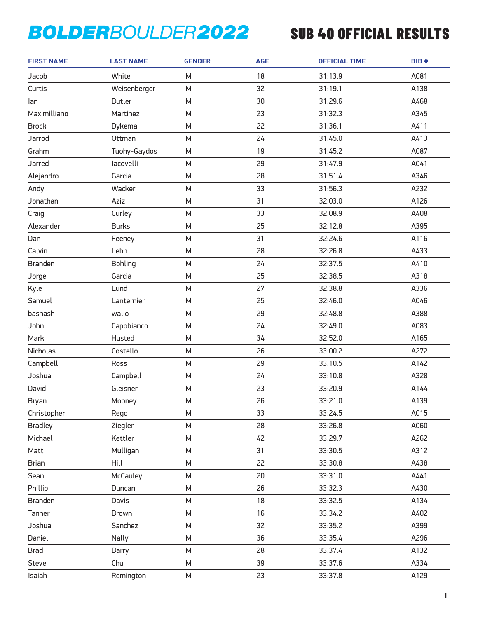| <b>FIRST NAME</b> | <b>LAST NAME</b> | <b>GENDER</b> | <b>AGE</b> | <b>OFFICIAL TIME</b> | BIB# |
|-------------------|------------------|---------------|------------|----------------------|------|
| Jacob             | White            | M             | 18         | 31:13.9              | A081 |
| Curtis            | Weisenberger     | M             | 32         | 31:19.1              | A138 |
| lan               | <b>Butler</b>    | M             | 30         | 31:29.6              | A468 |
| Maximilliano      | Martinez         | M             | 23         | 31:32.3              | A345 |
| <b>Brock</b>      | Dykema           | M             | 22         | 31:36.1              | A411 |
| Jarrod            | Ottman           | M             | 24         | 31:45.0              | A413 |
| Grahm             | Tuohy-Gaydos     | M             | 19         | 31:45.2              | A087 |
| Jarred            | lacovelli        | M             | 29         | 31:47.9              | A041 |
| Alejandro         | Garcia           | M             | 28         | 31:51.4              | A346 |
| Andy              | Wacker           | M             | 33         | 31:56.3              | A232 |
| Jonathan          | Aziz             | M             | 31         | 32:03.0              | A126 |
| Craig             | Curley           | M             | 33         | 32:08.9              | A408 |
| Alexander         | <b>Burks</b>     | M             | 25         | 32:12.8              | A395 |
| Dan               | Feeney           | M             | 31         | 32:24.6              | A116 |
| Calvin            | Lehn             | M             | 28         | 32:26.8              | A433 |
| <b>Branden</b>    | <b>Bohling</b>   | M             | 24         | 32:37.5              | A410 |
| Jorge             | Garcia           | M             | 25         | 32:38.5              | A318 |
| Kyle              | Lund             | M             | 27         | 32:38.8              | A336 |
| Samuel            | Lanternier       | M             | 25         | 32:46.0              | A046 |
| bashash           | walio            | M             | 29         | 32:48.8              | A388 |
| John              | Capobianco       | M             | 24         | 32:49.0              | A083 |
| Mark              | Husted           | M             | 34         | 32:52.0              | A165 |
| Nicholas          | Costello         | M             | 26         | 33:00.2              | A272 |
| Campbell          | Ross             | M             | 29         | 33:10.5              | A142 |
| Joshua            | Campbell         | M             | 24         | 33:10.8              | A328 |
| David             | Gleisner         | M             | 23         | 33:20.9              | A144 |
| Bryan             | Mooney           | M             | 26         | 33:21.0              | A139 |
| Christopher       | Rego             | M             | 33         | 33:24.5              | A015 |
| <b>Bradley</b>    | Ziegler          | М             | 28         | 33:26.8              | A060 |
| Michael           | Kettler          | M             | 42         | 33:29.7              | A262 |
| Matt              | Mulligan         | М             | 31         | 33:30.5              | A312 |
| Brian             | Hill             | М             | 22         | 33:30.8              | A438 |
| Sean              | <b>McCauley</b>  | M             | 20         | 33:31.0              | A441 |
| Phillip           | Duncan           | M             | 26         | 33:32.3              | A430 |
| <b>Branden</b>    | Davis            | М             | 18         | 33:32.5              | A134 |
| Tanner            | <b>Brown</b>     | M             | 16         | 33:34.2              | A402 |
| Joshua            | Sanchez          | М             | 32         | 33:35.2              | A399 |
| Daniel            | Nally            | М             | 36         | 33:35.4              | A296 |
| <b>Brad</b>       | Barry            | M             | 28         | 33:37.4              | A132 |
| Steve             | Chu              | M             | 39         | 33:37.6              | A334 |
| Isaiah            | Remington        | М             | 23         | 33:37.8              | A129 |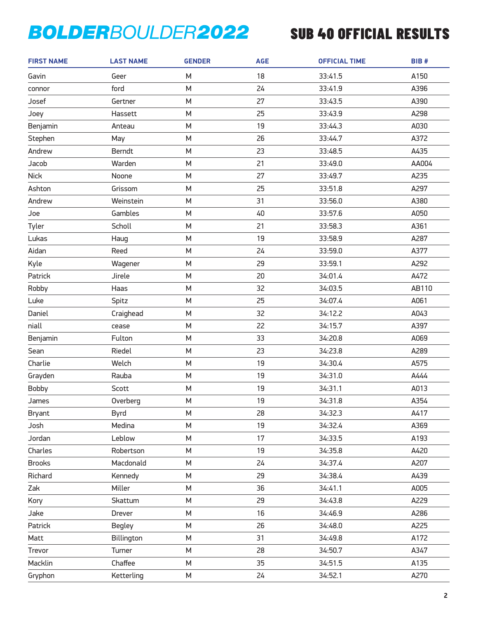| <b>FIRST NAME</b> | <b>LAST NAME</b> | <b>GENDER</b> | <b>AGE</b> | <b>OFFICIAL TIME</b> | BIB#  |
|-------------------|------------------|---------------|------------|----------------------|-------|
| Gavin             | Geer             | M             | 18         | 33:41.5              | A150  |
| connor            | ford             | M             | 24         | 33:41.9              | A396  |
| Josef             | Gertner          | M             | 27         | 33:43.5              | A390  |
| Joey              | Hassett          | M             | 25         | 33:43.9              | A298  |
| Benjamin          | Anteau           | M             | 19         | 33:44.3              | A030  |
| Stephen           | May              | M             | 26         | 33:44.7              | A372  |
| Andrew            | Berndt           | M             | 23         | 33:48.5              | A435  |
| Jacob             | Warden           | M             | 21         | 33:49.0              | AA004 |
| <b>Nick</b>       | Noone            | M             | 27         | 33:49.7              | A235  |
| Ashton            | Grissom          | M             | 25         | 33:51.8              | A297  |
| Andrew            | Weinstein        | M             | 31         | 33:56.0              | A380  |
| Joe               | Gambles          | M             | 40         | 33:57.6              | A050  |
| Tyler             | Scholl           | M             | 21         | 33:58.3              | A361  |
| Lukas             | Haug             | M             | 19         | 33:58.9              | A287  |
| Aidan             | Reed             | M             | 24         | 33:59.0              | A377  |
| Kyle              | Wagener          | M             | 29         | 33:59.1              | A292  |
| Patrick           | Jirele           | M             | 20         | 34:01.4              | A472  |
| Robby             | Haas             | M             | 32         | 34:03.5              | AB110 |
| Luke              | Spitz            | M             | 25         | 34:07.4              | A061  |
| Daniel            | Craighead        | M             | 32         | 34:12.2              | A043  |
| niall             | cease            | M             | 22         | 34:15.7              | A397  |
| Benjamin          | Fulton           | M             | 33         | 34:20.8              | A069  |
| Sean              | Riedel           | M             | 23         | 34:23.8              | A289  |
| Charlie           | Welch            | M             | 19         | 34:30.4              | A575  |
| Grayden           | Rauba            | M             | 19         | 34:31.0              | A444  |
| Bobby             | Scott            | M             | 19         | 34:31.1              | A013  |
| James             | Overberg         | M             | 19         | 34:31.8              | A354  |
| <b>Bryant</b>     | Byrd             | М             | 28         | 34:32.3              | A417  |
| Josh              | Medina           | M             | 19         | 34:32.4              | A369  |
| Jordan            | Leblow           | M             | 17         | 34:33.5              | A193  |
| Charles           | Robertson        | M             | 19         | 34:35.8              | A420  |
| <b>Brooks</b>     | Macdonald        | М             | 24         | 34:37.4              | A207  |
| Richard           | Kennedy          | M             | 29         | 34:38.4              | A439  |
| Zak               | Miller           | М             | 36         | 34:41.1              | A005  |
| Kory              | Skattum          | M             | 29         | 34:43.8              | A229  |
| Jake              | Drever           | M             | 16         | 34:46.9              | A286  |
| Patrick           | <b>Begley</b>    | M             | 26         | 34:48.0              | A225  |
| Matt              | Billington       | М             | 31         | 34:49.8              | A172  |
| Trevor            | Turner           | M             | 28         | 34:50.7              | A347  |
| Macklin           | Chaffee          | M             | 35         | 34:51.5              | A135  |
| Gryphon           | Ketterling       | М             | 24         | 34:52.1              | A270  |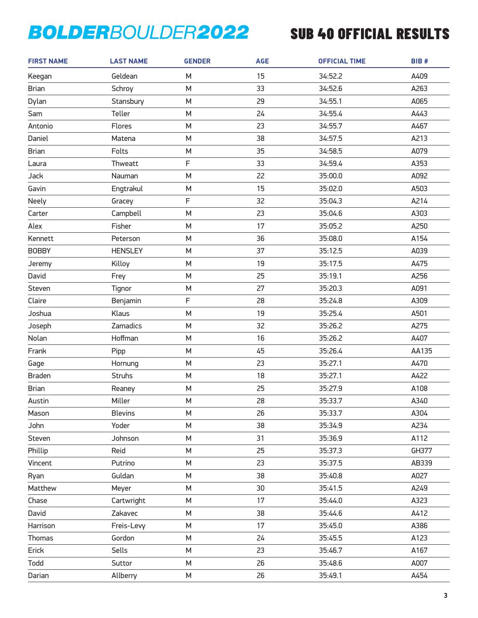| <b>FIRST NAME</b> | <b>LAST NAME</b> | <b>GENDER</b> | <b>AGE</b> | <b>OFFICIAL TIME</b> | BIB#  |
|-------------------|------------------|---------------|------------|----------------------|-------|
| Keegan            | Geldean          | М             | 15         | 34:52.2              | A409  |
| <b>Brian</b>      | Schroy           | M             | 33         | 34:52.6              | A263  |
| Dylan             | Stansbury        | M             | 29         | 34:55.1              | A065  |
| Sam               | Teller           | M             | 24         | 34:55.4              | A443  |
| Antonio           | Flores           | M             | 23         | 34:55.7              | A467  |
| Daniel            | Matena           | M             | 38         | 34:57.5              | A213  |
| <b>Brian</b>      | Folts            | M             | 35         | 34:58.5              | A079  |
| Laura             | Thweatt          | F             | 33         | 34:59.4              | A353  |
| Jack              | Nauman           | M             | 22         | 35:00.0              | A092  |
| Gavin             | Engtrakul        | M             | 15         | 35:02.0              | A503  |
| Neely             | Gracey           | F             | 32         | 35:04.3              | A214  |
| Carter            | Campbell         | M             | 23         | 35:04.6              | A303  |
| Alex              | Fisher           | M             | 17         | 35:05.2              | A250  |
| Kennett           | Peterson         | M             | 36         | 35:08.0              | A154  |
| <b>BOBBY</b>      | <b>HENSLEY</b>   | M             | 37         | 35:12.5              | A039  |
| Jeremy            | Killoy           | M             | 19         | 35:17.5              | A475  |
| David             | Frey             | M             | 25         | 35:19.1              | A256  |
| Steven            | Tignor           | M             | 27         | 35:20.3              | A091  |
| Claire            | Benjamin         | F             | 28         | 35:24.8              | A309  |
| Joshua            | Klaus            | M             | 19         | 35:25.4              | A501  |
| Joseph            | Zamadics         | M             | 32         | 35:26.2              | A275  |
| Nolan             | Hoffman          | M             | 16         | 35:26.2              | A407  |
| Frank             | Pipp             | M             | 45         | 35:26.4              | AA135 |
| Gage              | Hornung          | M             | 23         | 35:27.1              | A470  |
| <b>Braden</b>     | <b>Struhs</b>    | M             | 18         | 35:27.1              | A422  |
| <b>Brian</b>      | Reaney           | M             | 25         | 35:27.9              | A108  |
| Austin            | Miller           | ${\sf M}$     | 28         | 35:33.7              | A340  |
| Mason             | <b>Blevins</b>   | M             | 26         | 35:33.7              | A304  |
| John              | Yoder            | М             | 38         | 35:34.9              | A234  |
| Steven            | Johnson          | M             | 31         | 35:36.9              | A112  |
| Phillip           | Reid             | М             | 25         | 35:37.3              | GH377 |
| Vincent           | Putrino          | М             | 23         | 35:37.5              | AB339 |
| Ryan              | Guldan           | M             | 38         | 35:40.8              | A027  |
| Matthew           | Meyer            | М             | 30         | 35:41.5              | A249  |
| Chase             | Cartwright       | М             | 17         | 35:44.0              | A323  |
| David             | Zakavec          | M             | 38         | 35:44.6              | A412  |
| Harrison          | Freis-Levy       | М             | 17         | 35:45.0              | A386  |
| Thomas            | Gordon           | М             | 24         | 35:45.5              | A123  |
| Erick             | Sells            | M             | 23         | 35:46.7              | A167  |
| Todd              | Suttor           | М             | 26         | 35:48.6              | A007  |
| Darian            | Allberry         | М             | 26         | 35:49.1              | A454  |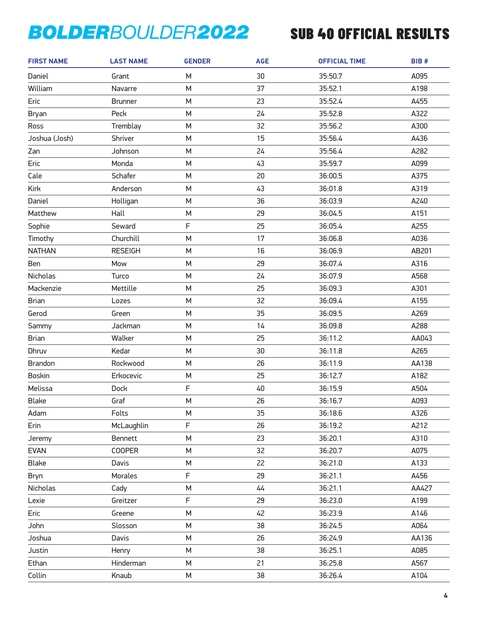| <b>FIRST NAME</b> | <b>LAST NAME</b> | <b>GENDER</b> | <b>AGE</b> | <b>OFFICIAL TIME</b> | <b>BIB#</b> |
|-------------------|------------------|---------------|------------|----------------------|-------------|
| Daniel            | Grant            | М             | 30         | 35:50.7              | A095        |
| William           | Navarre          | M             | 37         | 35:52.1              | A198        |
| Eric              | <b>Brunner</b>   | M             | 23         | 35:52.4              | A455        |
| <b>Bryan</b>      | Peck             | M             | 24         | 35:52.8              | A322        |
| Ross              | Tremblay         | M             | 32         | 35:56.2              | A300        |
| Joshua (Josh)     | Shriver          | M             | 15         | 35:56.4              | A436        |
| Zan               | Johnson          | M             | 24         | 35:56.4              | A282        |
| Eric              | Monda            | M             | 43         | 35:59.7              | A099        |
| Cale              | Schafer          | M             | 20         | 36:00.5              | A375        |
| Kirk              | Anderson         | M             | 43         | 36:01.8              | A319        |
| Daniel            | Holligan         | M             | 36         | 36:03.9              | A240        |
| Matthew           | Hall             | M             | 29         | 36:04.5              | A151        |
| Sophie            | Seward           | F             | 25         | 36:05.4              | A255        |
| Timothy           | Churchill        | M             | 17         | 36:06.8              | A036        |
| <b>NATHAN</b>     | <b>RESEIGH</b>   | M             | 16         | 36:06.9              | AB201       |
| Ben               | Mow              | M             | 29         | 36:07.4              | A316        |
| Nicholas          | Turco            | M             | 24         | 36:07.9              | A568        |
| Mackenzie         | Mettille         | M             | 25         | 36:09.3              | A301        |
| <b>Brian</b>      | Lozes            | M             | 32         | 36:09.4              | A155        |
| Gerod             | Green            | M             | 35         | 36:09.5              | A269        |
| Sammy             | Jackman          | M             | 14         | 36:09.8              | A288        |
| <b>Brian</b>      | Walker           | M             | 25         | 36:11.2              | AA043       |
| Dhruv             | Kedar            | M             | 30         | 36:11.8              | A265        |
| <b>Brandon</b>    | Rockwood         | M             | 26         | 36:11.9              | AA138       |
| <b>Boskin</b>     | Erkocevic        | M             | 25         | 36:12.7              | A182        |
| Melissa           | <b>Dock</b>      | F             | 40         | 36:15.9              | A504        |
| <b>Blake</b>      | Graf             | M             | 26         | 36:16.7              | A093        |
| Adam              | Folts            | М             | 35         | 36:18.6              | A326        |
| Erin              | McLaughlin       | F             | 26         | 36:19.2              | A212        |
| Jeremy            | <b>Bennett</b>   | M             | 23         | 36:20.1              | A310        |
| <b>EVAN</b>       | <b>COOPER</b>    | М             | 32         | 36:20.7              | A075        |
| Blake             | Davis            | М             | 22         | 36:21.0              | A133        |
| <b>Bryn</b>       | Morales          | F             | 29         | 36:21.1              | A456        |
| Nicholas          | Cady             | М             | 44         | 36:21.1              | AA427       |
| Lexie             | Greitzer         | F             | 29         | 36:23.0              | A199        |
| Eric              | Greene           | M             | 42         | 36:23.9              | A146        |
| John              | Slosson          | М             | 38         | 36:24.5              | A064        |
| Joshua            | Davis            | М             | 26         | 36:24.9              | AA136       |
| Justin            | Henry            | M             | 38         | 36:25.1              | A085        |
| Ethan             | Hinderman        | М             | 21         | 36:25.8              | A567        |
| Collin            | Knaub            | М             | 38         | 36:26.4              | A104        |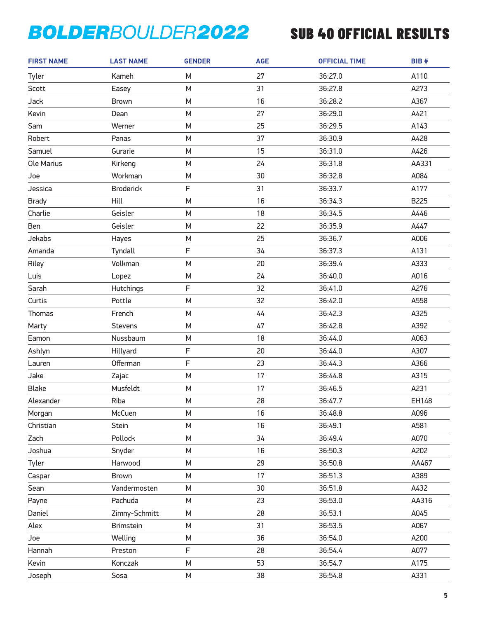| <b>FIRST NAME</b> | <b>LAST NAME</b> | <b>GENDER</b> | <b>AGE</b> | <b>OFFICIAL TIME</b> | BIB#  |
|-------------------|------------------|---------------|------------|----------------------|-------|
| Tyler             | Kameh            | M             | 27         | 36:27.0              | A110  |
| Scott             | Easey            | M             | 31         | 36:27.8              | A273  |
| Jack              | <b>Brown</b>     | M             | 16         | 36:28.2              | A367  |
| Kevin             | Dean             | М             | 27         | 36:29.0              | A421  |
| Sam               | Werner           | M             | 25         | 36:29.5              | A143  |
| Robert            | Panas            | M             | 37         | 36:30.9              | A428  |
| Samuel            | Gurarie          | М             | 15         | 36:31.0              | A426  |
| Ole Marius        | Kirkeng          | M             | 24         | 36:31.8              | AA331 |
| Joe               | Workman          | M             | 30         | 36:32.8              | A084  |
| Jessica           | <b>Broderick</b> | F             | 31         | 36:33.7              | A177  |
| <b>Brady</b>      | Hill             | M             | 16         | 36:34.3              | B225  |
| Charlie           | Geisler          | M             | 18         | 36:34.5              | A446  |
| Ben               | Geisler          | M             | 22         | 36:35.9              | A447  |
| Jekabs            | Hayes            | M             | 25         | 36:36.7              | A006  |
| Amanda            | Tyndall          | F             | 34         | 36:37.3              | A131  |
| Riley             | Volkman          | M             | 20         | 36:39.4              | A333  |
| Luis              | Lopez            | M             | 24         | 36:40.0              | A016  |
| Sarah             | <b>Hutchings</b> | F             | 32         | 36:41.0              | A276  |
| Curtis            | Pottle           | M             | 32         | 36:42.0              | A558  |
| Thomas            | French           | M             | 44         | 36:42.3              | A325  |
| Marty             | Stevens          | M             | 47         | 36:42.8              | A392  |
| Eamon             | Nussbaum         | M             | 18         | 36:44.0              | A063  |
| Ashlyn            | Hillyard         | F             | 20         | 36:44.0              | A307  |
| Lauren            | Offerman         | F             | 23         | 36:44.3              | A366  |
| Jake              | Zajac            | M             | 17         | 36:44.8              | A315  |
| <b>Blake</b>      | Musfeldt         | M             | 17         | 36:46.5              | A231  |
| Alexander         | Riba             | M             | 28         | 36:47.7              | EH148 |
| Morgan            | McCuen           | M             | 16         | 36:48.8              | A096  |
| Christian         | Stein            | М             | 16         | 36:49.1              | A581  |
| Zach              | Pollock          | M             | 34         | 36:49.4              | A070  |
| Joshua            | Snyder           | М             | 16         | 36:50.3              | A202  |
| Tyler             | Harwood          | М             | 29         | 36:50.8              | AA467 |
| Caspar            | <b>Brown</b>     | M             | 17         | 36:51.3              | A389  |
| Sean              | Vandermosten     | М             | 30         | 36:51.8              | A432  |
| Payne             | Pachuda          | М             | 23         | 36:53.0              | AA316 |
| Daniel            | Zimny-Schmitt    | M             | 28         | 36:53.1              | A045  |
| Alex              | Brimstein        | М             | 31         | 36:53.5              | A067  |
| Joe               | Welling          | М             | 36         | 36:54.0              | A200  |
| Hannah            | Preston          | F             | 28         | 36:54.4              | A077  |
| Kevin             | Konczak          | М             | 53         | 36:54.7              | A175  |
| Joseph            | Sosa             | М             | 38         | 36:54.8              | A331  |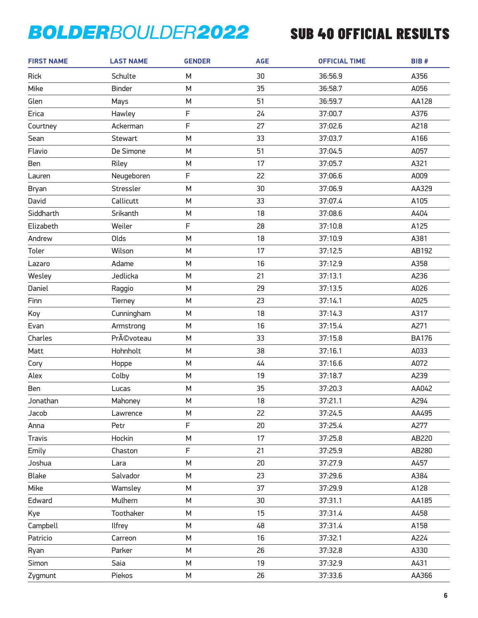| <b>FIRST NAME</b> | <b>LAST NAME</b> | <b>GENDER</b> | <b>AGE</b> | <b>OFFICIAL TIME</b> | BIB#         |
|-------------------|------------------|---------------|------------|----------------------|--------------|
| <b>Rick</b>       | Schulte          | M             | 30         | 36:56.9              | A356         |
| Mike              | <b>Binder</b>    | M             | 35         | 36:58.7              | A056         |
| Glen              | Mays             | ${\sf M}$     | 51         | 36:59.7              | AA128        |
| Erica             | Hawley           | $\mathsf F$   | 24         | 37:00.7              | A376         |
| Courtney          | Ackerman         | F             | 27         | 37:02.6              | A218         |
| Sean              | Stewart          | M             | 33         | 37:03.7              | A166         |
| Flavio            | De Simone        | M             | 51         | 37:04.5              | A057         |
| Ben               | Riley            | M             | 17         | 37:05.7              | A321         |
| Lauren            | Neugeboren       | F             | 22         | 37:06.6              | A009         |
| <b>Bryan</b>      | Stressler        | M             | 30         | 37:06.9              | AA329        |
| David             | Callicutt        | M             | 33         | 37:07.4              | A105         |
| Siddharth         | Srikanth         | M             | 18         | 37:08.6              | A404         |
| Elizabeth         | Weiler           | F             | 28         | 37:10.8              | A125         |
| Andrew            | Olds             | M             | 18         | 37:10.9              | A381         |
| Toler             | Wilson           | M             | 17         | 37:12.5              | AB192        |
| Lazaro            | Adame            | M             | 16         | 37:12.9              | A358         |
| Wesley            | Jedlicka         | M             | 21         | 37:13.1              | A236         |
| Daniel            | Raggio           | M             | 29         | 37:13.5              | A026         |
| Finn              | Tierney          | M             | 23         | 37:14.1              | A025         |
| Koy               | Cunningham       | M             | 18         | 37:14.3              | A317         |
| Evan              | Armstrong        | M             | 16         | 37:15.4              | A271         |
| Charles           | Prévoteau        | M             | 33         | 37:15.8              | <b>BA176</b> |
| Matt              | Hohnholt         | M             | 38         | 37:16.1              | A033         |
| Cory              | Hoppe            | M             | 44         | 37:16.6              | A072         |
| Alex              | Colby            | M             | 19         | 37:18.7              | A239         |
| Ben               | Lucas            | M             | 35         | 37:20.3              | AA042        |
| Jonathan          | Mahoney          | M             | 18         | 37:21.1              | A294         |
| Jacob             | Lawrence         | M             | 22         | 37:24.5              | AA495        |
| Anna              | Petr             | F             | 20         | 37:25.4              | A277         |
| <b>Travis</b>     | Hockin           | M             | 17         | 37:25.8              | AB220        |
| Emily             | Chaston          | F             | 21         | 37:25.9              | AB280        |
| Joshua            | Lara             | M             | 20         | 37:27.9              | A457         |
| <b>Blake</b>      | Salvador         | M             | 23         | 37:29.6              | A384         |
| Mike              | Wamsley          | M             | 37         | 37:29.9              | A128         |
| Edward            | Mulhern          | M             | 30         | 37:31.1              | AA185        |
| Kye               | Toothaker        | М             | 15         | 37:31.4              | A458         |
| Campbell          | <b>Ilfrey</b>    | М             | 48         | 37:31.4              | A158         |
| Patricio          | Carreon          | M             | 16         | 37:32.1              | A224         |
| Ryan              | Parker           | М             | 26         | 37:32.8              | A330         |
| Simon             | Saia             | M             | 19         | 37:32.9              | A431         |
| Zygmunt           | Piekos           | М             | 26         | 37:33.6              | AA366        |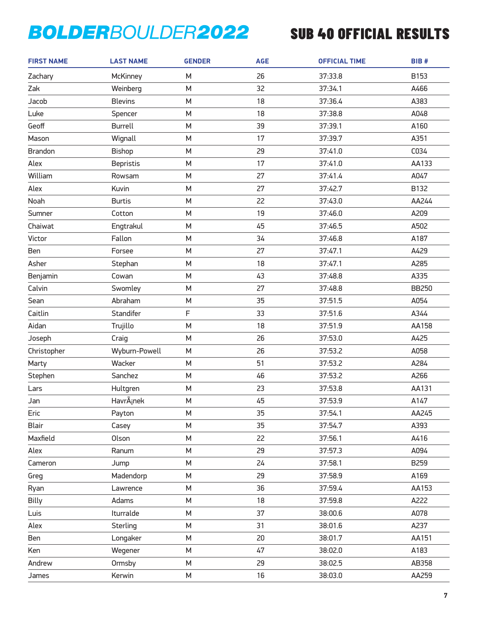| <b>FIRST NAME</b> | <b>LAST NAME</b> | <b>GENDER</b> | <b>AGE</b> | <b>OFFICIAL TIME</b> | BIB#         |
|-------------------|------------------|---------------|------------|----------------------|--------------|
| Zachary           | McKinney         | M             | 26         | 37:33.8              | B153         |
| Zak               | Weinberg         | M             | 32         | 37:34.1              | A466         |
| Jacob             | <b>Blevins</b>   | M             | 18         | 37:36.4              | A383         |
| Luke              | Spencer          | M             | 18         | 37:38.8              | A048         |
| Geoff             | <b>Burrell</b>   | M             | 39         | 37:39.1              | A160         |
| Mason             | Wignall          | M             | 17         | 37:39.7              | A351         |
| <b>Brandon</b>    | <b>Bishop</b>    | M             | 29         | 37:41.0              | C034         |
| Alex              | <b>Bepristis</b> | М             | 17         | 37:41.0              | AA133        |
| William           | Rowsam           | M             | 27         | 37:41.4              | A047         |
| Alex              | Kuvin            | M             | 27         | 37:42.7              | B132         |
| Noah              | <b>Burtis</b>    | M             | 22         | 37:43.0              | AA244        |
| Sumner            | Cotton           | M             | 19         | 37:46.0              | A209         |
| Chaiwat           | Engtrakul        | M             | 45         | 37:46.5              | A502         |
| Victor            | Fallon           | M             | 34         | 37:46.8              | A187         |
| Ben               | Forsee           | M             | 27         | 37:47.1              | A429         |
| Asher             | Stephan          | M             | 18         | 37:47.1              | A285         |
| Benjamin          | Cowan            | М             | 43         | 37:48.8              | A335         |
| Calvin            | Swomley          | M             | 27         | 37:48.8              | <b>BB250</b> |
| Sean              | Abraham          | M             | 35         | 37:51.5              | A054         |
| Caitlin           | Standifer        | F             | 33         | 37:51.6              | A344         |
| Aidan             | Trujillo         | M             | 18         | 37:51.9              | AA158        |
| Joseph            | Craig            | M             | 26         | 37:53.0              | A425         |
| Christopher       | Wyburn-Powell    | M             | 26         | 37:53.2              | A058         |
| Marty             | Wacker           | M             | 51         | 37:53.2              | A284         |
| Stephen           | Sanchez          | M             | 46         | 37:53.2              | A266         |
| Lars              | Hultgren         | М             | 23         | 37:53.8              | AA131        |
| Jan               | Havránek         | M             | 45         | 37:53.9              | A147         |
| Eric              | Payton           | M             | 35         | 37:54.1              | AA245        |
| <b>Blair</b>      | Casey            | M             | 35         | 37:54.7              | A393         |
| Maxfield          | Olson            | M             | 22         | 37:56.1              | A416         |
| Alex              | Ranum            | М             | 29         | 37:57.3              | A094         |
| Cameron           | Jump             | M             | 24         | 37:58.1              | B259         |
| Greg              | Madendorp        | М             | 29         | 37:58.9              | A169         |
| Ryan              | Lawrence         | М             | 36         | 37:59.4              | AA153        |
| Billy             | Adams            | M             | 18         | 37:59.8              | A222         |
| Luis              | Iturralde        | М             | 37         | 38:00.6              | A078         |
| Alex              | Sterling         | М             | 31         | 38:01.6              | A237         |
| Ben               | Longaker         | М             | 20         | 38:01.7              | AA151        |
| Ken               | Wegener          | М             | 47         | 38:02.0              | A183         |
| Andrew            | Ormsby           | М             | 29         | 38:02.5              | AB358        |
| James             | Kerwin           | М             | 16         | 38:03.0              | AA259        |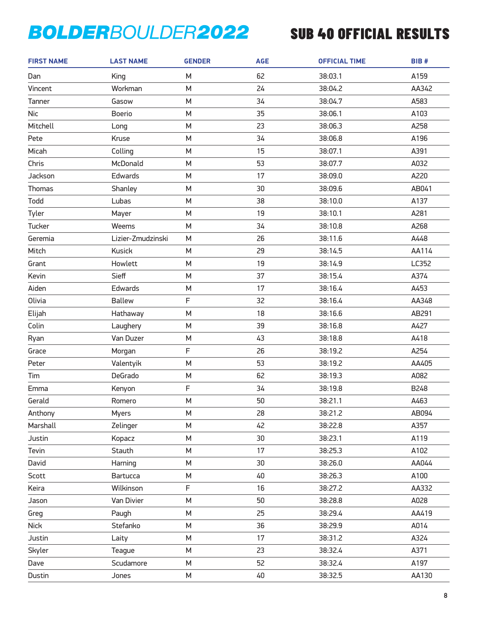| <b>FIRST NAME</b> | <b>LAST NAME</b>  | <b>GENDER</b> | <b>AGE</b> | <b>OFFICIAL TIME</b> | BIB#  |
|-------------------|-------------------|---------------|------------|----------------------|-------|
| Dan               | King              | M             | 62         | 38:03.1              | A159  |
| Vincent           | Workman           | M             | 24         | 38:04.2              | AA342 |
| Tanner            | Gasow             | M             | 34         | 38:04.7              | A583  |
| <b>Nic</b>        | <b>Boerio</b>     | M             | 35         | 38:06.1              | A103  |
| Mitchell          | Long              | M             | 23         | 38:06.3              | A258  |
| Pete              | Kruse             | M             | 34         | 38:06.8              | A196  |
| Micah             | Colling           | М             | 15         | 38:07.1              | A391  |
| Chris             | McDonald          | M             | 53         | 38:07.7              | A032  |
| Jackson           | Edwards           | M             | 17         | 38:09.0              | A220  |
| Thomas            | Shanley           | M             | 30         | 38:09.6              | AB041 |
| Todd              | Lubas             | M             | 38         | 38:10.0              | A137  |
| Tyler             | Mayer             | M             | 19         | 38:10.1              | A281  |
| Tucker            | Weems             | M             | 34         | 38:10.8              | A268  |
| Geremia           | Lizier-Zmudzinski | M             | 26         | 38:11.6              | A448  |
| Mitch             | <b>Kusick</b>     | M             | 29         | 38:14.5              | AA114 |
| Grant             | Howlett           | M             | 19         | 38:14.9              | LC352 |
| Kevin             | Sieff             | M             | 37         | 38:15.4              | A374  |
| Aiden             | Edwards           | M             | 17         | 38:16.4              | A453  |
| Olivia            | <b>Ballew</b>     | F             | 32         | 38:16.4              | AA348 |
| Elijah            | Hathaway          | M             | 18         | 38:16.6              | AB291 |
| Colin             | Laughery          | M             | 39         | 38:16.8              | A427  |
| Ryan              | Van Duzer         | M             | 43         | 38:18.8              | A418  |
| Grace             | Morgan            | F             | 26         | 38:19.2              | A254  |
| Peter             | Valentyik         | M             | 53         | 38:19.2              | AA405 |
| Tim               | DeGrado           | М             | 62         | 38:19.3              | A082  |
| Emma              | Kenyon            | F             | 34         | 38:19.8              | B248  |
| Gerald            | Romero            | M             | 50         | 38:21.1              | A463  |
| Anthony           | <b>Myers</b>      | М             | 28         | 38:21.2              | AB094 |
| Marshall          | Zelinger          | М             | 42         | 38:22.8              | A357  |
| Justin            | Kopacz            | M             | 30         | 38:23.1              | A119  |
| Tevin             | Stauth            | М             | 17         | 38:25.3              | A102  |
| David             | Harning           | М             | 30         | 38:26.0              | AA044 |
| Scott             | Bartucca          | M             | 40         | 38:26.3              | A100  |
| Keira             | Wilkinson         | F             | 16         | 38:27.2              | AA332 |
| Jason             | Van Divier        | М             | 50         | 38:28.8              | A028  |
| Greg              | Paugh             | M             | 25         | 38:29.4              | AA419 |
| <b>Nick</b>       | Stefanko          | М             | 36         | 38:29.9              | A014  |
| Justin            | Laity             | М             | 17         | 38:31.2              | A324  |
| Skyler            | Teague            | M             | 23         | 38:32.4              | A371  |
| Dave              | Scudamore         | М             | 52         | 38:32.4              | A197  |
| Dustin            | Jones             | М             | 40         | 38:32.5              | AA130 |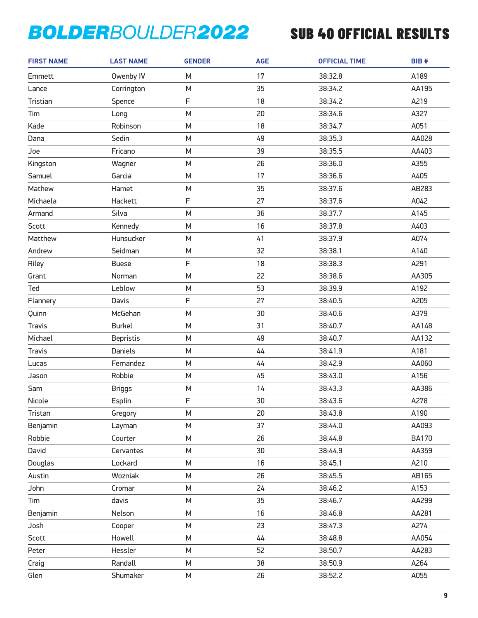| <b>FIRST NAME</b> | <b>LAST NAME</b> | <b>GENDER</b> | <b>AGE</b> | <b>OFFICIAL TIME</b> | BIB#         |
|-------------------|------------------|---------------|------------|----------------------|--------------|
| Emmett            | Owenby IV        | M             | 17         | 38:32.8              | A189         |
| Lance             | Corrington       | M             | 35         | 38:34.2              | AA195        |
| Tristian          | Spence           | F             | 18         | 38:34.2              | A219         |
| Tim               | Long             | M             | 20         | 38:34.6              | A327         |
| Kade              | Robinson         | M             | 18         | 38:34.7              | A051         |
| Dana              | Sedin            | M             | 49         | 38:35.3              | AA028        |
| Joe               | Fricano          | M             | 39         | 38:35.5              | AA403        |
| Kingston          | Wagner           | M             | 26         | 38:36.0              | A355         |
| Samuel            | Garcia           | M             | 17         | 38:36.6              | A405         |
| Mathew            | Hamet            | M             | 35         | 38:37.6              | AB283        |
| Michaela          | Hackett          | F             | 27         | 38:37.6              | A042         |
| Armand            | Silva            | M             | 36         | 38:37.7              | A145         |
| Scott             | Kennedy          | M             | 16         | 38:37.8              | A403         |
| Matthew           | Hunsucker        | M             | 41         | 38:37.9              | A074         |
| Andrew            | Seidman          | M             | 32         | 38:38.1              | A140         |
| Riley             | <b>Buese</b>     | F             | 18         | 38:38.3              | A291         |
| Grant             | Norman           | M             | 22         | 38:38.6              | AA305        |
| Ted               | Leblow           | M             | 53         | 38:39.9              | A192         |
| Flannery          | Davis            | F             | 27         | 38:40.5              | A205         |
| Quinn             | McGehan          | M             | 30         | 38:40.6              | A379         |
| <b>Travis</b>     | <b>Burkel</b>    | M             | 31         | 38:40.7              | AA148        |
| Michael           | <b>Bepristis</b> | M             | 49         | 38:40.7              | AA132        |
| <b>Travis</b>     | <b>Daniels</b>   | M             | 44         | 38:41.9              | A181         |
| Lucas             | Fernandez        | M             | 44         | 38:42.9              | AA060        |
| Jason             | Robbie           | M             | 45         | 38:43.0              | A156         |
| Sam               | <b>Briggs</b>    | M             | 14         | 38:43.3              | AA386        |
| Nicole            | Esplin           | F             | 30         | 38:43.6              | A278         |
| Tristan           | Gregory          | М             | 20         | 38:43.8              | A190         |
| Benjamin          | Layman           | М             | 37         | 38:44.0              | AA093        |
| Robbie            | Courter          | M             | 26         | 38:44.8              | <b>BA170</b> |
| David             | Cervantes        | М             | 30         | 38:44.9              | AA359        |
| Douglas           | Lockard          | М             | 16         | 38:45.1              | A210         |
| Austin            | Wozniak          | M             | 26         | 38:45.5              | AB165        |
| John              | Cromar           | М             | 24         | 38:46.2              | A153         |
| Tim               | davis            | М             | 35         | 38:46.7              | AA299        |
| Benjamin          | Nelson           | M             | 16         | 38:46.8              | AA281        |
| Josh              | Cooper           | М             | 23         | 38:47.3              | A274         |
| Scott             | Howell           | М             | 44         | 38:48.8              | AA054        |
| Peter             | Hessler          | M             | 52         | 38:50.7              | AA283        |
| Craig             | Randall          | М             | 38         | 38:50.9              | A264         |
| Glen              | Shumaker         | М             | 26         | 38:52.2              | A055         |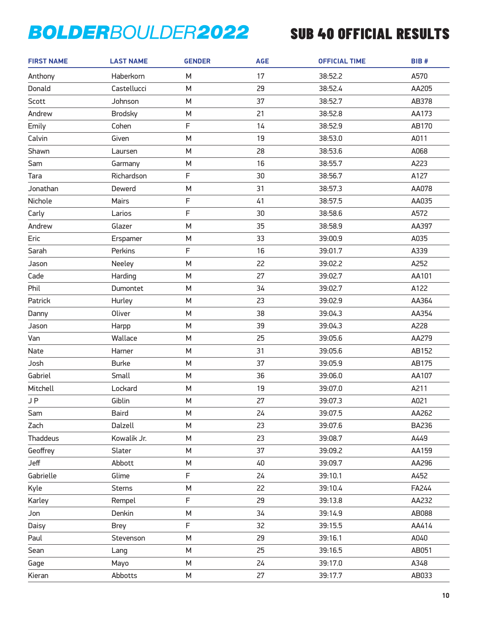| <b>FIRST NAME</b> | <b>LAST NAME</b> | <b>GENDER</b> | <b>AGE</b> | <b>OFFICIAL TIME</b> | BIB#         |
|-------------------|------------------|---------------|------------|----------------------|--------------|
| Anthony           | Haberkorn        | M             | 17         | 38:52.2              | A570         |
| Donald            | Castellucci      | M             | 29         | 38:52.4              | AA205        |
| Scott             | Johnson          | M             | 37         | 38:52.7              | AB378        |
| Andrew            | <b>Brodsky</b>   | M             | 21         | 38:52.8              | AA173        |
| Emily             | Cohen            | F             | 14         | 38:52.9              | AB170        |
| Calvin            | Given            | M             | 19         | 38:53.0              | A011         |
| Shawn             | Laursen          | M             | 28         | 38:53.6              | A068         |
| Sam               | Garmany          | M             | 16         | 38:55.7              | A223         |
| Tara              | Richardson       | F             | 30         | 38:56.7              | A127         |
| Jonathan          | Dewerd           | M             | 31         | 38:57.3              | AA078        |
| Nichole           | Mairs            | F             | 41         | 38:57.5              | AA035        |
| Carly             | Larios           | F             | 30         | 38:58.6              | A572         |
| Andrew            | Glazer           | M             | 35         | 38:58.9              | AA397        |
| Eric              | Erspamer         | M             | 33         | 39:00.9              | A035         |
| Sarah             | Perkins          | F             | 16         | 39:01.7              | A339         |
| Jason             | Neeley           | M             | 22         | 39:02.2              | A252         |
| Cade              | Harding          | M             | 27         | 39:02.7              | AA101        |
| Phil              | Dumontet         | M             | 34         | 39:02.7              | A122         |
| Patrick           | Hurley           | M             | 23         | 39:02.9              | AA364        |
| Danny             | Oliver           | M             | 38         | 39:04.3              | AA354        |
| Jason             | Harpp            | M             | 39         | 39:04.3              | A228         |
| Van               | Wallace          | M             | 25         | 39:05.6              | AA279        |
| Nate              | Harner           | M             | 31         | 39:05.6              | AB152        |
| Josh              | <b>Burke</b>     | M             | 37         | 39:05.9              | AB175        |
| Gabriel           | Small            | M             | 36         | 39:06.0              | AA107        |
| Mitchell          | Lockard          | M             | 19         | 39:07.0              | A211         |
| <b>JP</b>         | Giblin           | M             | 27         | 39:07.3              | A021         |
| Sam               | <b>Baird</b>     | М             | 24         | 39:07.5              | AA262        |
| Zach              | Dalzell          | М             | 23         | 39:07.6              | <b>BA236</b> |
| <b>Thaddeus</b>   | Kowalik Jr.      | M             | 23         | 39:08.7              | A449         |
| Geoffrey          | Slater           | M             | 37         | 39:09.2              | AA159        |
| Jeff              | Abbott           | М             | 40         | 39:09.7              | AA296        |
| Gabrielle         | Glime            | F             | 24         | 39:10.1              | A452         |
| Kyle              | <b>Sterns</b>    | М             | 22         | 39:10.4              | FA244        |
| Karley            | Rempel           | F             | 29         | 39:13.8              | AA232        |
| Jon               | Denkin           | M             | 34         | 39:14.9              | AB088        |
| Daisy             | <b>Brey</b>      | F             | 32         | 39:15.5              | AA414        |
| Paul              | Stevenson        | М             | 29         | 39:16.1              | A040         |
| Sean              | Lang             | M             | 25         | 39:16.5              | AB051        |
| Gage              | Mayo             | M             | 24         | 39:17.0              | A348         |
| Kieran            | Abbotts          | М             | 27         | 39:17.7              | AB033        |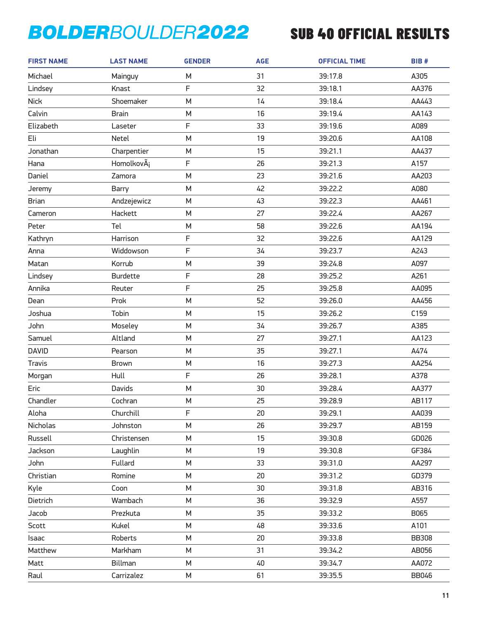| <b>FIRST NAME</b> | <b>LAST NAME</b> | <b>GENDER</b> | <b>AGE</b> | <b>OFFICIAL TIME</b> | BIB#         |
|-------------------|------------------|---------------|------------|----------------------|--------------|
| Michael           | Mainguy          | M             | 31         | 39:17.8              | A305         |
| Lindsey           | Knast            | F             | 32         | 39:18.1              | AA376        |
| <b>Nick</b>       | Shoemaker        | M             | 14         | 39:18.4              | AA443        |
| Calvin            | <b>Brain</b>     | M             | 16         | 39:19.4              | AA143        |
| Elizabeth         | Laseter          | F             | 33         | 39:19.6              | A089         |
| Eli               | Netel            | M             | 19         | 39:20.6              | AA108        |
| Jonathan          | Charpentier      | M             | 15         | 39:21.1              | AA437        |
| Hana              | HomolkovÂi       | F             | 26         | 39:21.3              | A157         |
| Daniel            | Zamora           | M             | 23         | 39:21.6              | AA203        |
| Jeremy            | <b>Barry</b>     | M             | 42         | 39:22.2              | A080         |
| <b>Brian</b>      | Andzejewicz      | M             | 43         | 39:22.3              | AA461        |
| Cameron           | Hackett          | M             | 27         | 39:22.4              | AA267        |
| Peter             | Tel              | M             | 58         | 39:22.6              | AA194        |
| Kathryn           | Harrison         | F             | 32         | 39:22.6              | AA129        |
| Anna              | Widdowson        | F             | 34         | 39:23.7              | A243         |
| Matan             | Korrub           | M             | 39         | 39:24.8              | A097         |
| Lindsey           | <b>Burdette</b>  | F             | 28         | 39:25.2              | A261         |
| Annika            | Reuter           | F             | 25         | 39:25.8              | AA095        |
| Dean              | Prok             | M             | 52         | 39:26.0              | AA456        |
| Joshua            | Tobin            | M             | 15         | 39:26.2              | C159         |
| John              | Moseley          | M             | 34         | 39:26.7              | A385         |
| Samuel            | Altland          | M             | 27         | 39:27.1              | AA123        |
| <b>DAVID</b>      | Pearson          | M             | 35         | 39:27.1              | A474         |
| <b>Travis</b>     | <b>Brown</b>     | M             | 16         | 39:27.3              | AA254        |
| Morgan            | Hull             | F             | 26         | 39:28.1              | A378         |
| Eric              | <b>Davids</b>    | M             | 30         | 39:28.4              | AA377        |
| Chandler          | Cochran          | M             | 25         | 39:28.9              | AB117        |
| Aloha             | Churchill        | F             | 20         | 39:29.1              | AA039        |
| Nicholas          | Johnston         | М             | 26         | 39:29.7              | AB159        |
| Russell           | Christensen      | М             | 15         | 39:30.8              | GD026        |
| Jackson           | Laughlin         | M             | 19         | 39:30.8              | GF384        |
| John              | Fullard          | M             | 33         | 39:31.0              | AA297        |
| Christian         | Romine           | М             | 20         | 39:31.2              | GD379        |
| Kyle              | Coon             | М             | 30         | 39:31.8              | AB316        |
| Dietrich          | Wambach          | М             | 36         | 39:32.9              | A557         |
| Jacob             | Prezkuta         | М             | 35         | 39:33.2              | B065         |
| Scott             | Kukel            | М             | 48         | 39:33.6              | A101         |
| Isaac             | Roberts          | М             | 20         | 39:33.8              | <b>BB308</b> |
| Matthew           | Markham          | М             | 31         | 39:34.2              | AB056        |
| Matt              | Billman          | М             | 40         | 39:34.7              | AA072        |
| Raul              | Carrizalez       | М             | 61         | 39:35.5              | <b>BB046</b> |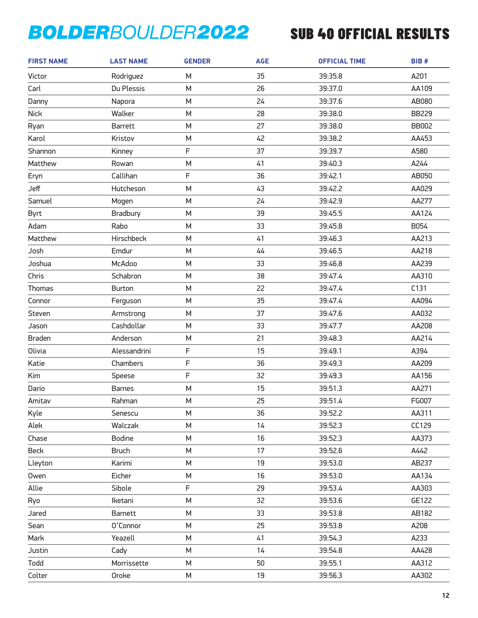| <b>FIRST NAME</b> | <b>LAST NAME</b> | <b>GENDER</b> | <b>AGE</b> | <b>OFFICIAL TIME</b> | BIB#         |
|-------------------|------------------|---------------|------------|----------------------|--------------|
| Victor            | Rodriguez        | М             | 35         | 39:35.8              | A201         |
| Carl              | Du Plessis       | M             | 26         | 39:37.0              | AA109        |
| Danny             | Napora           | M             | 24         | 39:37.6              | AB080        |
| <b>Nick</b>       | Walker           | M             | 28         | 39:38.0              | <b>BB229</b> |
| Ryan              | <b>Barrett</b>   | M             | 27         | 39:38.0              | <b>BB002</b> |
| Karol             | Kristov          | M             | 42         | 39:38.2              | AA453        |
| Shannon           | Kinney           | F             | 37         | 39:39.7              | A580         |
| Matthew           | Rowan            | M             | 41         | 39:40.3              | A244         |
| Eryn              | Callihan         | F             | 36         | 39:42.1              | AB050        |
| Jeff              | Hutcheson        | M             | 43         | 39:42.2              | AA029        |
| Samuel            | Mogen            | M             | 24         | 39:42.9              | AA277        |
| <b>Byrt</b>       | Bradbury         | M             | 39         | 39:45.5              | AA124        |
| Adam              | Rabo             | M             | 33         | 39:45.8              | B054         |
| Matthew           | Hirschbeck       | M             | 41         | 39:46.3              | AA213        |
| Josh              | Emdur            | M             | 44         | 39:46.5              | AA218        |
| Joshua            | McAdoo           | M             | 33         | 39:46.8              | AA239        |
| Chris             | Schabron         | M             | 38         | 39:47.4              | AA310        |
| <b>Thomas</b>     | <b>Burton</b>    | M             | 22         | 39:47.4              | C131         |
| Connor            | Ferguson         | M             | 35         | 39:47.4              | AA094        |
| Steven            | Armstrong        | M             | 37         | 39:47.6              | AA032        |
| Jason             | Cashdollar       | M             | 33         | 39:47.7              | AA208        |
| <b>Braden</b>     | Anderson         | M             | 21         | 39:48.3              | AA214        |
| Olivia            | Alessandrini     | F             | 15         | 39:49.1              | A394         |
| Katie             | Chambers         | F             | 36         | 39:49.3              | AA209        |
| Kim               | Speese           | F             | 32         | 39:49.3              | AA156        |
| Dario             | <b>Barnes</b>    | M             | 15         | 39:51.3              | AA271        |
| Amitav            | Rahman           | M             | 25         | 39:51.4              | FG007        |
| Kyle              | Senescu          | М             | 36         | 39:52.2              | AA311        |
| Alek              | Walczak          | М             | 14         | 39:52.3              | CC129        |
| Chase             | <b>Bodine</b>    | M             | 16         | 39:52.3              | AA373        |
| Beck              | <b>Bruch</b>     | М             | 17         | 39:52.6              | A442         |
| Lleyton           | Karimi           | М             | 19         | 39:53.0              | AB237        |
| Owen              | Eicher           | M             | 16         | 39:53.0              | AA134        |
| Allie             | Sibole           | F             | 29         | 39:53.4              | AA303        |
| Ryo               | Iketani          | М             | 32         | 39:53.6              | GE122        |
| Jared             | Barnett          | M             | 33         | 39:53.8              | AB182        |
| Sean              | O'Connor         | М             | 25         | 39:53.8              | A208         |
| Mark              | Yeazell          | М             | 41         | 39:54.3              | A233         |
| Justin            | Cady             | M             | 14         | 39:54.8              | AA428        |
| Todd              | Morrissette      | М             | 50         | 39:55.1              | AA312        |
| Colter            | Oroke            | М             | 19         | 39:56.3              | AA302        |